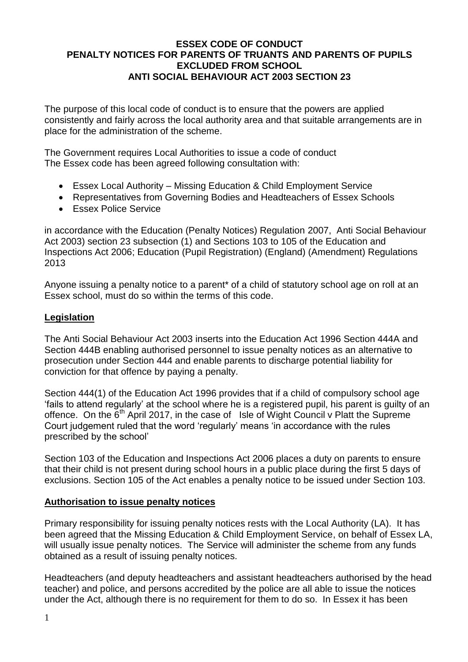#### **ESSEX CODE OF CONDUCT PENALTY NOTICES FOR PARENTS OF TRUANTS AND PARENTS OF PUPILS EXCLUDED FROM SCHOOL ANTI SOCIAL BEHAVIOUR ACT 2003 SECTION 23**

The purpose of this local code of conduct is to ensure that the powers are applied consistently and fairly across the local authority area and that suitable arrangements are in place for the administration of the scheme.

The Government requires Local Authorities to issue a code of conduct The Essex code has been agreed following consultation with:

- Essex Local Authority Missing Education & Child Employment Service
- Representatives from Governing Bodies and Headteachers of Essex Schools
- Essex Police Service

in accordance with the Education (Penalty Notices) Regulation 2007, Anti Social Behaviour Act 2003) section 23 subsection (1) and Sections 103 to 105 of the Education and Inspections Act 2006; Education (Pupil Registration) (England) (Amendment) Regulations 2013

Anyone issuing a penalty notice to a parent\* of a child of statutory school age on roll at an Essex school, must do so within the terms of this code.

#### **Legislation**

The Anti Social Behaviour Act 2003 inserts into the Education Act 1996 Section 444A and Section 444B enabling authorised personnel to issue penalty notices as an alternative to prosecution under Section 444 and enable parents to discharge potential liability for conviction for that offence by paying a penalty.

Section 444(1) of the Education Act 1996 provides that if a child of compulsory school age 'fails to attend regularly' at the school where he is a registered pupil, his parent is guilty of an offence. On the  $6<sup>th</sup>$  April 2017, in the case of Isle of Wight Council v Platt the Supreme Court judgement ruled that the word 'regularly' means 'in accordance with the rules prescribed by the school'

Section 103 of the Education and Inspections Act 2006 places a duty on parents to ensure that their child is not present during school hours in a public place during the first 5 days of exclusions. Section 105 of the Act enables a penalty notice to be issued under Section 103.

#### **Authorisation to issue penalty notices**

Primary responsibility for issuing penalty notices rests with the Local Authority (LA). It has been agreed that the Missing Education & Child Employment Service, on behalf of Essex LA, will usually issue penalty notices. The Service will administer the scheme from any funds obtained as a result of issuing penalty notices.

Headteachers (and deputy headteachers and assistant headteachers authorised by the head teacher) and police, and persons accredited by the police are all able to issue the notices under the Act, although there is no requirement for them to do so. In Essex it has been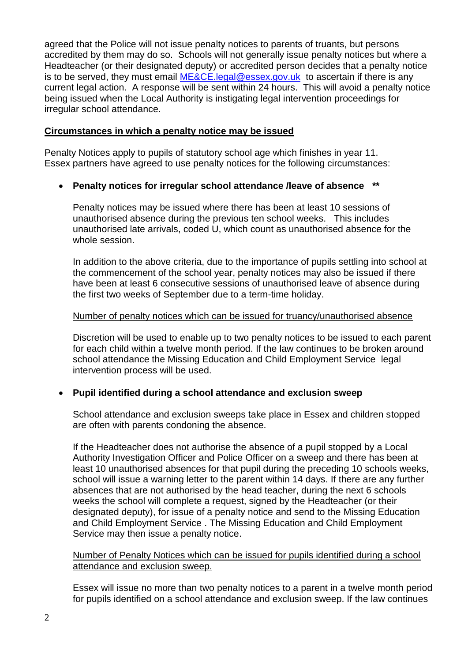agreed that the Police will not issue penalty notices to parents of truants, but persons accredited by them may do so. Schools will not generally issue penalty notices but where a Headteacher (or their designated deputy) or accredited person decides that a penalty notice is to be served, they must email [ME&CE.legal@essex.gov.uk](mailto:ME&CE.legal@essex.gov.uk) to ascertain if there is any current legal action. A response will be sent within 24 hours. This will avoid a penalty notice being issued when the Local Authority is instigating legal intervention proceedings for irregular school attendance.

#### **Circumstances in which a penalty notice may be issued**

Penalty Notices apply to pupils of statutory school age which finishes in year 11. Essex partners have agreed to use penalty notices for the following circumstances:

## **Penalty notices for irregular school attendance /leave of absence \*\***

Penalty notices may be issued where there has been at least 10 sessions of unauthorised absence during the previous ten school weeks. This includes unauthorised late arrivals, coded U, which count as unauthorised absence for the whole session.

In addition to the above criteria, due to the importance of pupils settling into school at the commencement of the school year, penalty notices may also be issued if there have been at least 6 consecutive sessions of unauthorised leave of absence during the first two weeks of September due to a term-time holiday.

#### Number of penalty notices which can be issued for truancy/unauthorised absence

Discretion will be used to enable up to two penalty notices to be issued to each parent for each child within a twelve month period. If the law continues to be broken around school attendance the Missing Education and Child Employment Service legal intervention process will be used.

#### **Pupil identified during a school attendance and exclusion sweep**

School attendance and exclusion sweeps take place in Essex and children stopped are often with parents condoning the absence.

If the Headteacher does not authorise the absence of a pupil stopped by a Local Authority Investigation Officer and Police Officer on a sweep and there has been at least 10 unauthorised absences for that pupil during the preceding 10 schools weeks, school will issue a warning letter to the parent within 14 days. If there are any further absences that are not authorised by the head teacher, during the next 6 schools weeks the school will complete a request, signed by the Headteacher (or their designated deputy), for issue of a penalty notice and send to the Missing Education and Child Employment Service . The Missing Education and Child Employment Service may then issue a penalty notice.

#### Number of Penalty Notices which can be issued for pupils identified during a school attendance and exclusion sweep.

Essex will issue no more than two penalty notices to a parent in a twelve month period for pupils identified on a school attendance and exclusion sweep. If the law continues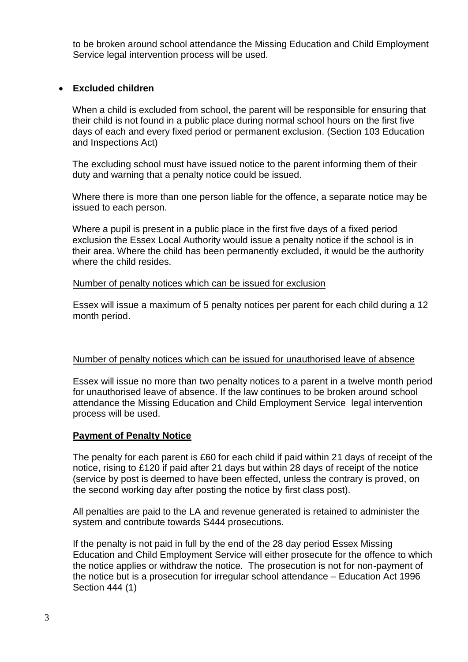to be broken around school attendance the Missing Education and Child Employment Service legal intervention process will be used.

# **Excluded children**

When a child is excluded from school, the parent will be responsible for ensuring that their child is not found in a public place during normal school hours on the first five days of each and every fixed period or permanent exclusion. (Section 103 Education and Inspections Act)

The excluding school must have issued notice to the parent informing them of their duty and warning that a penalty notice could be issued.

Where there is more than one person liable for the offence, a separate notice may be issued to each person.

Where a pupil is present in a public place in the first five days of a fixed period exclusion the Essex Local Authority would issue a penalty notice if the school is in their area. Where the child has been permanently excluded, it would be the authority where the child resides.

#### Number of penalty notices which can be issued for exclusion

Essex will issue a maximum of 5 penalty notices per parent for each child during a 12 month period.

#### Number of penalty notices which can be issued for unauthorised leave of absence

Essex will issue no more than two penalty notices to a parent in a twelve month period for unauthorised leave of absence. If the law continues to be broken around school attendance the Missing Education and Child Employment Service legal intervention process will be used.

#### **Payment of Penalty Notice**

The penalty for each parent is £60 for each child if paid within 21 days of receipt of the notice, rising to £120 if paid after 21 days but within 28 days of receipt of the notice (service by post is deemed to have been effected, unless the contrary is proved, on the second working day after posting the notice by first class post).

All penalties are paid to the LA and revenue generated is retained to administer the system and contribute towards S444 prosecutions.

If the penalty is not paid in full by the end of the 28 day period Essex Missing Education and Child Employment Service will either prosecute for the offence to which the notice applies or withdraw the notice. The prosecution is not for non-payment of the notice but is a prosecution for irregular school attendance – Education Act 1996 Section 444 (1)